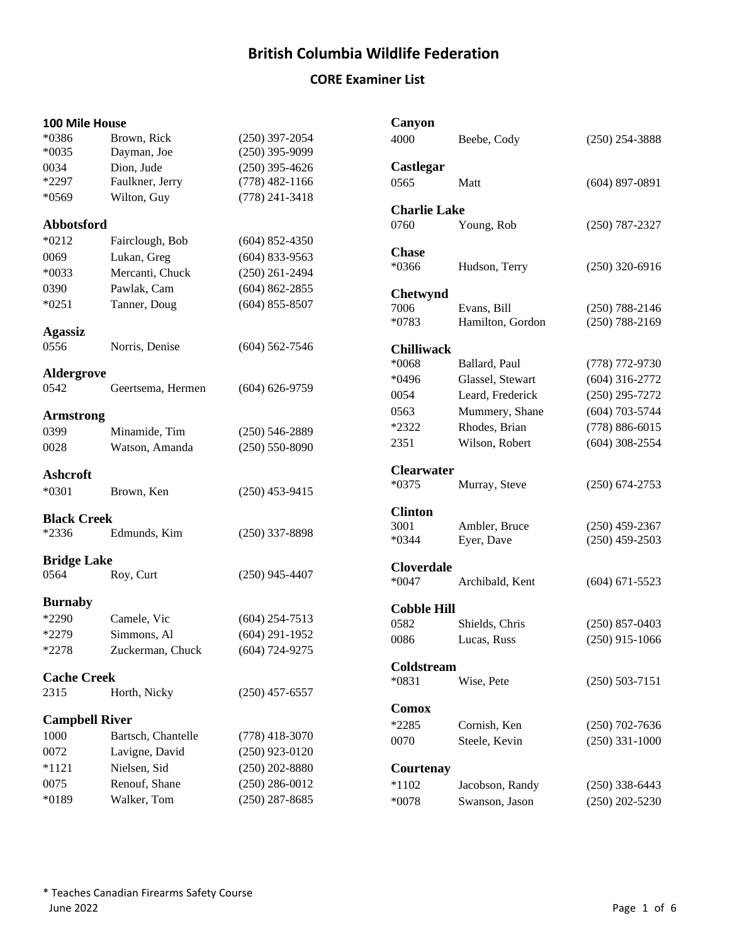## **CORE Examiner List**

| $*0386$               | Brown, Rick        | $(250)$ 397-2054   |
|-----------------------|--------------------|--------------------|
| $*0035$               | Dayman, Joe        | $(250)$ 395-9099   |
| 0034                  | Dion, Jude         | $(250)$ 395-4626   |
| *2297                 | Faulkner, Jerry    | $(778)$ 482-1166   |
| $*0569$               | Wilton, Guy        | $(778)$ 241-3418   |
| <b>Abbotsford</b>     |                    |                    |
| $*0212$               | Fairclough, Bob    | $(604)$ 852-4350   |
| 0069                  | Lukan, Greg        | $(604)$ 833-9563   |
| $*0033$               | Mercanti, Chuck    | $(250)$ 261-2494   |
| 0390                  | Pawlak, Cam        | $(604)$ 862-2855   |
| $*0251$               | Tanner, Doug       | $(604)$ 855-8507   |
| Agassiz               |                    |                    |
| 0556                  | Norris, Denise     | $(604)$ 562-7546   |
| <b>Aldergrove</b>     |                    |                    |
| 0542                  | Geertsema, Hermen  | $(604) 626 - 9759$ |
| <b>Armstrong</b>      |                    |                    |
| 0399                  | Minamide, Tim      | $(250)$ 546-2889   |
| 0028                  | Watson, Amanda     | $(250) 550 - 8090$ |
| Ashcroft              |                    |                    |
| $*0301$               | Brown, Ken         | $(250)$ 453-9415   |
| <b>Black Creek</b>    |                    |                    |
| $*2336$               | Edmunds, Kim       | $(250)$ 337-8898   |
| <b>Bridge Lake</b>    |                    |                    |
| 0564                  | Roy, Curt          | $(250)$ 945-4407   |
| <b>Burnaby</b>        |                    |                    |
| *2290                 | Camele, Vic        | $(604)$ 254-7513   |
| $*2279$               | Simmons, Al        | $(604)$ 291-1952   |
| *2278                 | Zuckerman, Chuck   | $(604) 724 - 9275$ |
| <b>Cache Creek</b>    |                    |                    |
| 2315                  | Horth, Nicky       | $(250)$ 457-6557   |
| <b>Campbell River</b> |                    |                    |
| 1000                  | Bartsch, Chantelle | $(778)$ 418-3070   |
| 0072                  | Lavigne, David     | $(250)$ 923-0120   |
| *1121                 | Nielsen, Sid       | $(250)$ 202-8880   |
| 0075                  | Renouf, Shane      | $(250) 286 - 0012$ |
| *0189                 | Walker, Tom        | $(250)$ 287-8685   |

| Canyon              |                  |                    |
|---------------------|------------------|--------------------|
| 4000                | Beebe, Cody      | $(250)$ 254-3888   |
| Castlegar           |                  |                    |
| 0565                | Matt             | $(604)$ 897-0891   |
| <b>Charlie Lake</b> |                  |                    |
| 0760                | Young, Rob       | $(250)$ 787-2327   |
| <b>Chase</b>        |                  |                    |
| $*0366$             | Hudson, Terry    | $(250)$ 320-6916   |
| Chetwynd            |                  |                    |
| 7006                | Evans, Bill      | $(250)$ 788-2146   |
| $*0783$             | Hamilton, Gordon | $(250) 788 - 2169$ |
| <b>Chilliwack</b>   |                  |                    |
| $*0068$             | Ballard, Paul    | (778) 772-9730     |
| $*0496$             | Glassel, Stewart | $(604)$ 316-2772   |
| 0054                | Leard, Frederick | $(250)$ 295-7272   |
| 0563                | Mummery, Shane   | $(604)$ 703-5744   |
| $*2322$             | Rhodes, Brian    | $(778) 886 - 6015$ |
| 2351                | Wilson, Robert   | $(604)$ 308-2554   |
| <b>Clearwater</b>   |                  |                    |
| $*0375$             | Murray, Steve    | $(250)$ 674-2753   |
| <b>Clinton</b>      |                  |                    |
| 3001                | Ambler, Bruce    | $(250)$ 459-2367   |
| *0344               | Eyer, Dave       | $(250)$ 459-2503   |
| <b>Cloverdale</b>   |                  |                    |
| $*0047$             | Archibald, Kent  | $(604) 671 - 5523$ |
| <b>Cobble Hill</b>  |                  |                    |
| 0582                | Shields, Chris   | $(250)$ 857-0403   |
| 0086                | Lucas, Russ      | $(250)$ 915-1066   |
| Coldstream          |                  |                    |
| $*0831$             | Wise, Pete       | $(250) 503 - 7151$ |
| <b>Comox</b>        |                  |                    |
| *2285               | Cornish, Ken     | $(250)$ 702-7636   |
| 0070                | Steele, Kevin    | $(250)$ 331-1000   |
| Courtenay           |                  |                    |
| $*1102$             | Jacobson, Randy  | $(250)$ 338-6443   |
| $*0078$             | Swanson, Jason   | $(250)$ 202-5230   |
|                     |                  |                    |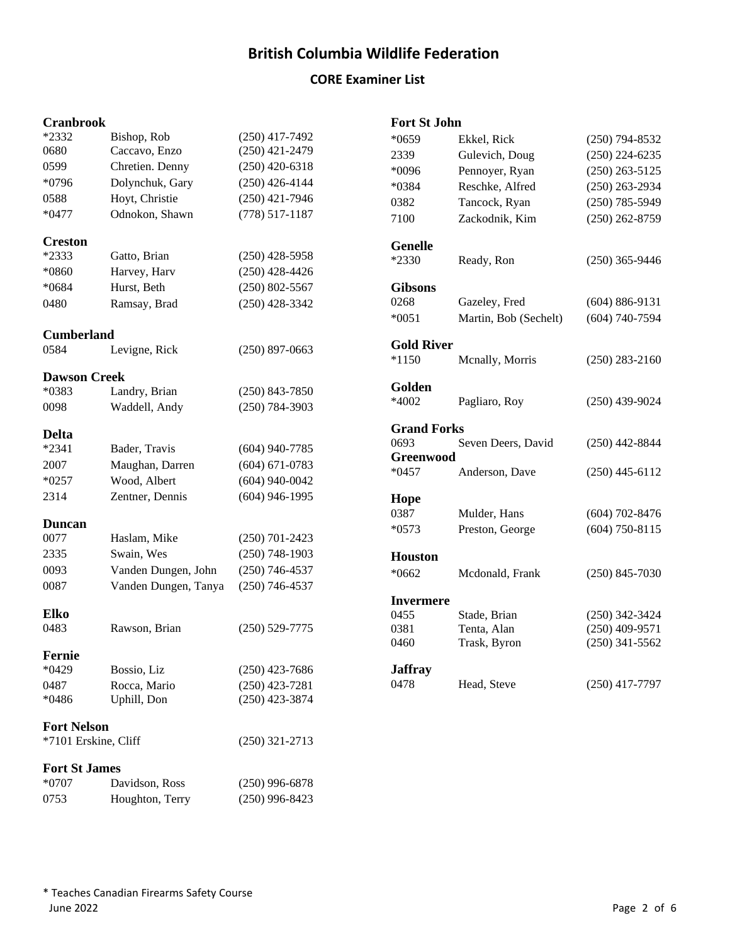### **CORE Examiner List**

#### **Cranbrook**

#### **Fort St John**

| *2332                | Bishop, Rob                 | $(250)$ 417-7492                     |
|----------------------|-----------------------------|--------------------------------------|
| 0680                 | Caccavo, Enzo               | $(250)$ 421-2479                     |
| 0599                 | Chretien. Denny             | $(250)$ 420-6318                     |
| $*0796$              | Dolynchuk, Gary             | $(250)$ 426-4144                     |
| 0588                 | Hoyt, Christie              | $(250)$ 421-7946                     |
| $*0477$              | Odnokon, Shawn              | $(778) 517 - 1187$                   |
|                      |                             |                                      |
| <b>Creston</b>       |                             |                                      |
| $*2333$              | Gatto, Brian                | $(250)$ 428-5958                     |
| $*0860$              | Harvey, Harv                | $(250)$ 428-4426                     |
| $*0684$              | Hurst, Beth                 | $(250) 802 - 5567$                   |
| 0480                 | Ramsay, Brad                | $(250)$ 428-3342                     |
|                      |                             |                                      |
| <b>Cumberland</b>    |                             |                                      |
| 0584                 | Levigne, Rick               | $(250)$ 897-0663                     |
| <b>Dawson Creek</b>  |                             |                                      |
| $*0383$              | Landry, Brian               | $(250)$ 843-7850                     |
| 0098                 | Waddell, Andy               | $(250)$ 784-3903                     |
|                      |                             |                                      |
| <b>Delta</b>         |                             |                                      |
| $*2341$              | Bader, Travis               | $(604)$ 940-7785                     |
| 2007                 | Maughan, Darren             | $(604) 671 - 0783$                   |
| $*0257$              | Wood, Albert                | $(604)$ 940-0042                     |
| 2314                 | Zentner, Dennis             | $(604)$ 946-1995                     |
| <b>Duncan</b>        |                             |                                      |
| 0077                 | Haslam, Mike                | $(250)$ 701-2423                     |
| 2335                 | Swain, Wes                  | $(250)$ 748-1903                     |
| 0093                 | Vanden Dungen, John         | $(250)$ 746-4537                     |
| 0087                 | Vanden Dungen, Tanya        | $(250)$ 746-4537                     |
|                      |                             |                                      |
| Elko                 |                             |                                      |
| 0483                 | Rawson, Brian               | $(250)$ 529-7775                     |
|                      |                             |                                      |
| Fernie               |                             |                                      |
| *0429                | Bossio, Liz                 | $(250)$ 423-7686                     |
| 0487<br>*0486        | Rocca, Mario<br>Uphill, Don | $(250)$ 423-7281<br>$(250)$ 423-3874 |
|                      |                             |                                      |
| <b>Fort Nelson</b>   |                             |                                      |
| *7101 Erskine, Cliff |                             | $(250)$ 321-2713                     |
|                      |                             |                                      |
| <b>Fort St James</b> |                             |                                      |
| $*0707$              | Davidson, Ross              | $(250)$ 996-6878                     |
| 0753                 | Houghton, Terry             | $(250)$ 996-8423                     |

| $*0659$            | Ekkel, Rick           | $(250)$ 794-8532   |
|--------------------|-----------------------|--------------------|
| 2339               | Gulevich, Doug        | $(250)$ 224-6235   |
| *0096              | Pennoyer, Ryan        | $(250)$ 263-5125   |
| *0384              | Reschke, Alfred       | $(250)$ 263-2934   |
| 0382               | Tancock, Ryan         | $(250)$ 785-5949   |
| 7100               | Zackodnik, Kim        | $(250)$ 262-8759   |
| <b>Genelle</b>     |                       |                    |
| *2330              | Ready, Ron            | $(250)$ 365-9446   |
| <b>Gibsons</b>     |                       |                    |
| 0268               | Gazeley, Fred         | $(604) 886 - 9131$ |
| $*0051$            | Martin, Bob (Sechelt) | $(604) 740 - 7594$ |
| <b>Gold River</b>  |                       |                    |
| $*1150$            | Mcnally, Morris       | $(250) 283 - 2160$ |
| Golden             |                       |                    |
| $*4002$            | Pagliaro, Roy         | $(250)$ 439-9024   |
| <b>Grand Forks</b> |                       |                    |
| 0693               | Seven Deers, David    | $(250)$ 442-8844   |
| Greenwood          |                       |                    |
| $*0457$            | Anderson, Dave        | $(250)$ 445-6112   |
| Hope               |                       |                    |
| 0387               | Mulder, Hans          | $(604)$ 702-8476   |
| $*0573$            | Preston, George       | $(604) 750 - 8115$ |
| <b>Houston</b>     |                       |                    |
| $*0662$            | Mcdonald, Frank       | $(250)$ 845-7030   |
| <b>Invermere</b>   |                       |                    |
| 0455               | Stade, Brian          | $(250)$ 342-3424   |
| 0381               | Tenta, Alan           | $(250)$ 409-9571   |
| 0460               | Trask, Byron          | $(250)$ 341-5562   |
|                    |                       |                    |
| <b>Jaffray</b>     |                       |                    |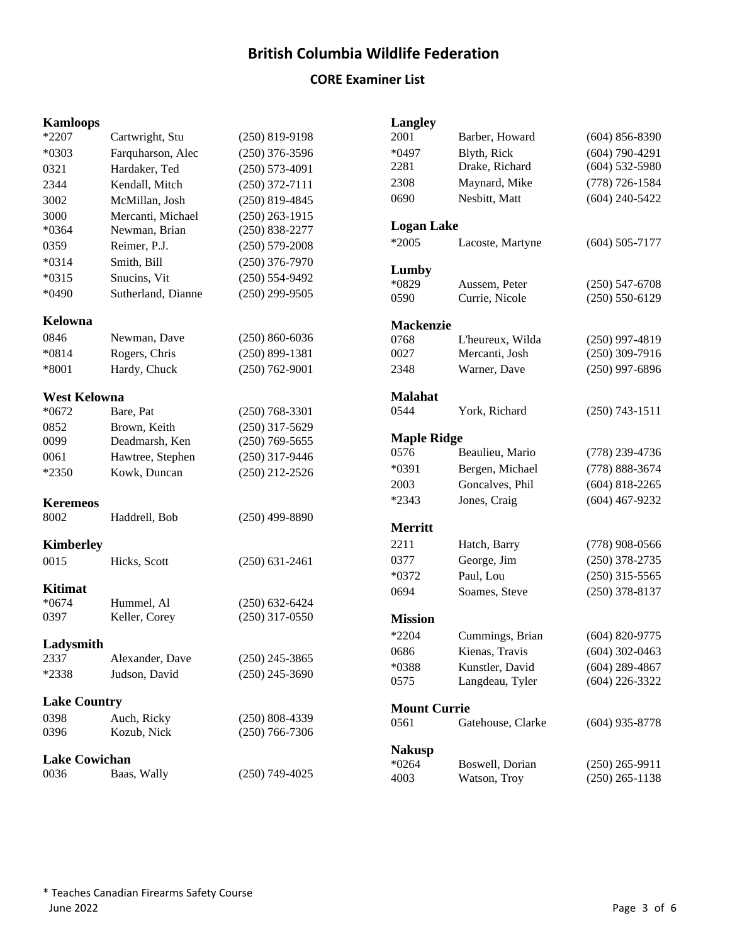## **CORE Examiner List**

#### **Kamloops**

| *2207                | Cartwright, Stu    | $(250)$ 819-9198   |
|----------------------|--------------------|--------------------|
| $*0303$              | Farquharson, Alec  | $(250)$ 376-3596   |
| 0321                 | Hardaker, Ted      | $(250) 573 - 4091$ |
| 2344                 | Kendall, Mitch     | $(250)$ 372-7111   |
| 3002                 | McMillan, Josh     | $(250)$ 819-4845   |
| 3000                 | Mercanti, Michael  | $(250)$ 263-1915   |
| $*0364$              | Newman, Brian      | $(250) 838 - 2277$ |
| 0359                 | Reimer, P.J.       | $(250) 579 - 2008$ |
| $*0314$              | Smith, Bill        | $(250)$ 376-7970   |
| $*0315$              | Snucins, Vit       | $(250) 554 - 9492$ |
| $*0490$              | Sutherland, Dianne | $(250)$ 299-9505   |
| Kelowna              |                    |                    |
| 0846                 | Newman, Dave       | $(250) 860 - 6036$ |
| $*0814$              | Rogers, Chris      | $(250) 899 - 1381$ |
| *8001                | Hardy, Chuck       | $(250) 762 - 9001$ |
| West Kelowna         |                    |                    |
| $*0672$              | Bare, Pat          | $(250) 768 - 3301$ |
| 0852                 | Brown, Keith       | $(250)$ 317-5629   |
| 0099                 | Deadmarsh, Ken     | $(250)$ 769-5655   |
| 0061                 | Hawtree, Stephen   | $(250)$ 317-9446   |
| *2350                | Kowk, Duncan       | $(250)$ 212-2526   |
| <b>Keremeos</b>      |                    |                    |
| 8002                 | Haddrell, Bob      | $(250)$ 499-8890   |
| <b>Kimberley</b>     |                    |                    |
| 0015                 | Hicks, Scott       | $(250) 631 - 2461$ |
| Kitimat              |                    |                    |
| $*0674$              | Hummel, Al         | $(250) 632 - 6424$ |
| 0397                 | Keller, Corey      | $(250)$ 317-0550   |
| Ladysmith            |                    |                    |
| 2337                 | Alexander, Dave    | $(250)$ 245-3865   |
| *2338                | Judson, David      | $(250)$ 245-3690   |
| <b>Lake Country</b>  |                    |                    |
| 0398                 | Auch, Ricky        | $(250)$ 808-4339   |
| 0396                 | Kozub, Nick        | $(250)$ 766-7306   |
| <b>Lake Cowichan</b> |                    |                    |
| 0036                 | Baas, Wally        | $(250)$ 749-4025   |

| <b>Langley</b>      |                   |                    |
|---------------------|-------------------|--------------------|
| 2001                | Barber, Howard    | $(604) 856 - 8390$ |
| *0497               | Blyth, Rick       | $(604)$ 790-4291   |
| 2281                | Drake, Richard    | $(604)$ 532-5980   |
| 2308                | Maynard, Mike     | $(778) 726 - 1584$ |
| 0690                | Nesbitt, Matt     | $(604)$ 240-5422   |
| <b>Logan Lake</b>   |                   |                    |
| *2005               | Lacoste, Martyne  | $(604) 505 - 7177$ |
| Lumby               |                   |                    |
| *0829               | Aussem, Peter     | $(250) 547 - 6708$ |
| 0590                | Currie, Nicole    | $(250) 550 - 6129$ |
| Mackenzie           |                   |                    |
| 0768                | L'heureux, Wilda  | $(250)$ 997-4819   |
| 0027                | Mercanti, Josh    | $(250)$ 309-7916   |
| 2348                | Warner, Dave      | $(250)$ 997-6896   |
| <b>Malahat</b>      |                   |                    |
| 0544                | York, Richard     | $(250)$ 743-1511   |
| <b>Maple Ridge</b>  |                   |                    |
| 0576                | Beaulieu, Mario   | (778) 239-4736     |
| *0391               | Bergen, Michael   | (778) 888-3674     |
| 2003                | Goncalves, Phil   | $(604)$ 818-2265   |
| $*2343$             | Jones, Craig      | $(604)$ 467-9232   |
| <b>Merritt</b>      |                   |                    |
| 2211                | Hatch, Barry      | $(778)$ 908-0566   |
| 0377                | George, Jim       | $(250)$ 378-2735   |
| $*0372$             | Paul, Lou         | $(250)$ 315-5565   |
| 0694                | Soames, Steve     | $(250)$ 378-8137   |
| <b>Mission</b>      |                   |                    |
| $*2204$             | Cummings, Brian   | $(604) 820 - 9775$ |
| 0686                | Kienas, Travis    | $(604)$ 302-0463   |
| *0388               | Kunstler, David   | $(604)$ 289-4867   |
| 0575                | Langdeau, Tyler   | $(604)$ 226-3322   |
| <b>Mount Currie</b> |                   |                    |
| 0561                | Gatehouse, Clarke | $(604)$ 935-8778   |
|                     |                   |                    |
| <b>Nakusp</b>       |                   |                    |
| $*0264$             | Boswell, Dorian   | $(250)$ 265-9911   |
| 4003                | Watson, Troy      | $(250)$ 265-1138   |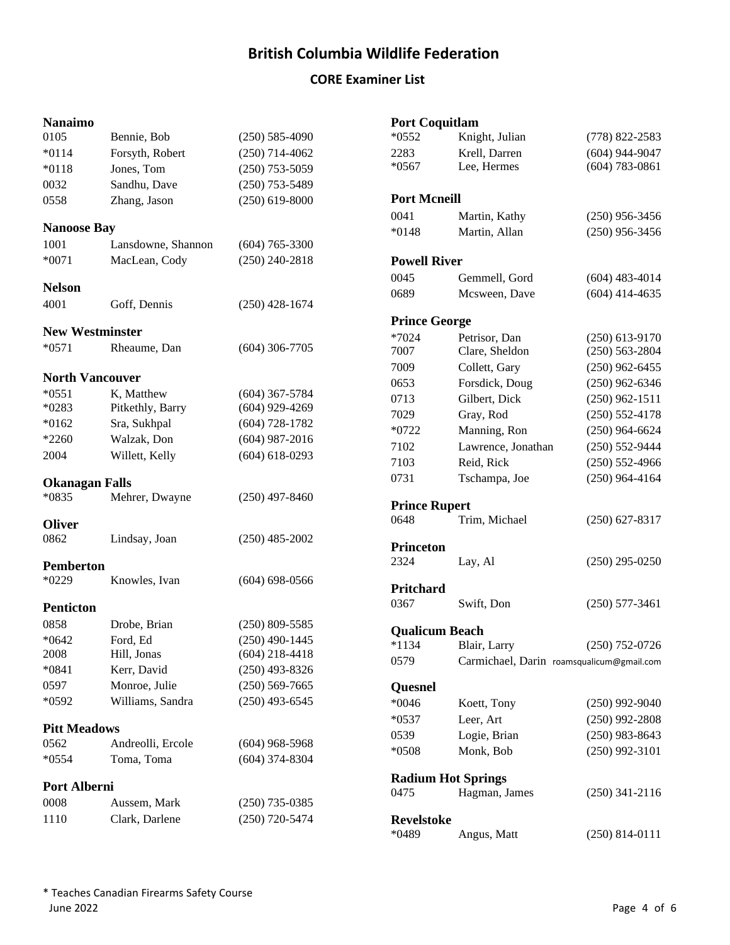### **CORE Examiner List**

#### **Nanaimo**

| 0105                   | Bennie, Bob        | $(250) 585 - 4090$ |
|------------------------|--------------------|--------------------|
| $*0114$                | Forsyth, Robert    | $(250)$ 714-4062   |
| $*0118$                | Jones, Tom         | $(250)$ 753-5059   |
| 0032                   | Sandhu, Dave       | $(250)$ 753-5489   |
| 0558                   | Zhang, Jason       | $(250)$ 619-8000   |
|                        |                    |                    |
| <b>Nanoose Bay</b>     |                    |                    |
| 1001                   | Lansdowne, Shannon | $(604) 765 - 3300$ |
| $*0071$                | MacLean, Cody      | $(250)$ 240-2818   |
| <b>Nelson</b>          |                    |                    |
| 4001                   | Goff, Dennis       | $(250)$ 428-1674   |
|                        |                    |                    |
| <b>New Westminster</b> |                    |                    |
| $*0571$                | Rheaume, Dan       | $(604)$ 306-7705   |
| <b>North Vancouver</b> |                    |                    |
| $*0551$                | K, Matthew         | $(604)$ 367-5784   |
| $*0283$                | Pitkethly, Barry   | $(604)$ 929-4269   |
| $*0162$                | Sra, Sukhpal       | $(604)$ 728-1782   |
| $*2260$                | Walzak, Don        | $(604)$ 987-2016   |
| 2004                   | Willett, Kelly     | $(604) 618 - 0293$ |
|                        |                    |                    |
| Okanagan Falls         |                    |                    |
| $*0835$                | Mehrer, Dwayne     | $(250)$ 497-8460   |
| Oliver                 |                    |                    |
| 0862                   | Lindsay, Joan      | $(250)$ 485-2002   |
|                        |                    |                    |
| <b>Pemberton</b>       |                    |                    |
| $*0229$                | Knowles, Ivan      | $(604) 698 - 0566$ |
| <b>Penticton</b>       |                    |                    |
| 0858                   | Drobe, Brian       | $(250)$ 809-5585   |
| $*0642$                | Ford, Ed           | $(250)$ 490-1445   |
| 2008                   | Hill, Jonas        | $(604)$ 218-4418   |
| $*0841$                | Kerr, David        | $(250)$ 493-8326   |
| 0597                   | Monroe, Julie      | $(250)$ 569-7665   |
| $*0592$                | Williams, Sandra   | $(250)$ 493-6545   |
| <b>Pitt Meadows</b>    |                    |                    |
| 0562                   | Andreolli, Ercole  | $(604)$ 968-5968   |
| $*0554$                | Toma, Toma         | $(604)$ 374-8304   |
|                        |                    |                    |
| <b>Port Alberni</b>    |                    |                    |
| 0008                   | Aussem, Mark       | $(250)$ 735-0385   |
| 1110                   | Clark, Darlene     | $(250)$ 720-5474   |
|                        |                    |                    |

| <b>Port Coquitlam</b>     |                                           |                                        |  |
|---------------------------|-------------------------------------------|----------------------------------------|--|
| $*0552$                   | Knight, Julian                            | (778) 822-2583                         |  |
| 2283                      | Krell, Darren                             | $(604)$ 944-9047                       |  |
| $*0567$                   | Lee, Hermes                               | $(604) 783 - 0861$                     |  |
|                           |                                           |                                        |  |
| <b>Port Mcneill</b>       |                                           |                                        |  |
| 0041                      | Martin, Kathy                             | $(250)$ 956-3456                       |  |
| $*0148$                   | Martin, Allan                             | $(250)$ 956-3456                       |  |
|                           |                                           |                                        |  |
| <b>Powell River</b>       |                                           |                                        |  |
| 0045                      | Gemmell, Gord                             | $(604)$ 483-4014                       |  |
| 0689                      | Mcsween, Dave                             | $(604)$ 414-4635                       |  |
| <b>Prince George</b>      |                                           |                                        |  |
| $*7024$                   | Petrisor, Dan                             | $(250)$ 613-9170                       |  |
| 7007                      | Clare, Sheldon                            | $(250) 563 - 2804$                     |  |
| 7009                      | Collett, Gary                             | $(250)$ 962-6455                       |  |
| 0653                      | Forsdick, Doug                            | $(250)$ 962-6346                       |  |
| 0713                      | Gilbert, Dick                             | $(250)$ 962-1511                       |  |
| 7029                      |                                           |                                        |  |
|                           | Gray, Rod                                 | $(250) 552 - 4178$<br>$(250)$ 964-6624 |  |
| $*0722$                   | Manning, Ron                              |                                        |  |
| 7102                      | Lawrence, Jonathan                        | $(250) 552 - 9444$                     |  |
| 7103                      | Reid, Rick                                | $(250) 552 - 4966$                     |  |
| 0731                      | Tschampa, Joe                             | $(250)$ 964-4164                       |  |
| <b>Prince Rupert</b>      |                                           |                                        |  |
| 0648                      | Trim, Michael                             | $(250)$ 627-8317                       |  |
|                           |                                           |                                        |  |
| <b>Princeton</b>          |                                           |                                        |  |
| 2324                      | Lay, Al                                   | $(250)$ 295-0250                       |  |
| Pritchard                 |                                           |                                        |  |
| 0367                      | Swift, Don                                | $(250)$ 577-3461                       |  |
|                           |                                           |                                        |  |
| <b>Qualicum Beach</b>     |                                           |                                        |  |
|                           | *1134 Blair, Larry                        | $(250)$ 752-0726                       |  |
| 0579                      | Carmichael, Darin roamsqualicum@gmail.com |                                        |  |
| Quesnel                   |                                           |                                        |  |
|                           |                                           |                                        |  |
| $*0046$                   | Koett, Tony                               | $(250)$ 992-9040                       |  |
| $*0537$                   | Leer, Art                                 | $(250)$ 992-2808                       |  |
| 0539                      | Logie, Brian                              | $(250)$ 983-8643                       |  |
| $*0508$                   | Monk, Bob                                 | $(250)$ 992-3101                       |  |
| <b>Radium Hot Springs</b> |                                           |                                        |  |
| 0475                      | Hagman, James                             | $(250)$ 341-2116                       |  |
|                           |                                           |                                        |  |
| <b>Revelstoke</b>         |                                           |                                        |  |
| *0489                     | Angus, Matt                               | $(250) 814 - 0111$                     |  |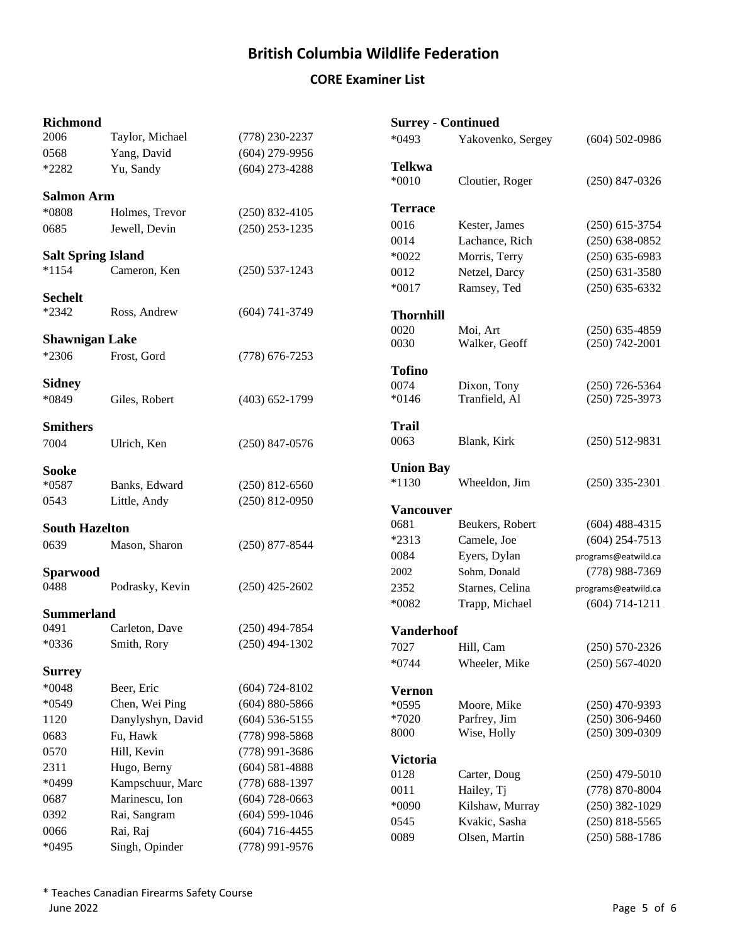## **CORE Examiner List**

| <b>Richmond</b>           |                   |                    |
|---------------------------|-------------------|--------------------|
| 2006                      | Taylor, Michael   | $(778)$ 230-2237   |
| 0568                      | Yang, David       | $(604)$ 279-9956   |
| *2282                     | Yu, Sandy         | $(604)$ 273-4288   |
| <b>Salmon Arm</b>         |                   |                    |
| $*0808$                   | Holmes, Trevor    | $(250)$ 832-4105   |
| 0685                      | Jewell, Devin     | $(250)$ 253-1235   |
| <b>Salt Spring Island</b> |                   |                    |
| $*1154$                   | Cameron, Ken      | $(250)$ 537-1243   |
| Sechelt                   |                   |                    |
| $*2342$                   | Ross, Andrew      | $(604) 741 - 3749$ |
| Shawnigan Lake            |                   |                    |
| $*2306$                   | Frost, Gord       | $(778)$ 676-7253   |
| Sidney                    |                   |                    |
| *0849                     | Giles, Robert     | $(403) 652 - 1799$ |
| <b>Smithers</b>           |                   |                    |
| 7004                      | Ulrich, Ken       | $(250)$ 847-0576   |
| Sooke                     |                   |                    |
| *0587                     | Banks, Edward     | $(250)$ 812-6560   |
| 0543                      | Little, Andy      | $(250)$ 812-0950   |
| <b>South Hazelton</b>     |                   |                    |
| 0639                      | Mason, Sharon     | $(250)$ 877-8544   |
| Sparwood                  |                   |                    |
| 0488                      | Podrasky, Kevin   | $(250)$ 425-2602   |
| <b>Summerland</b>         |                   |                    |
| 0491                      | Carleton, Dave    | $(250)$ 494-7854   |
| $*0336$                   | Smith, Rory       | $(250)$ 494-1302   |
| Surrey                    |                   |                    |
| *0048                     | Beer, Eric        | $(604) 724 - 8102$ |
| $*0549$                   | Chen, Wei Ping    | $(604)$ 880-5866   |
| 1120                      | Danylyshyn, David | $(604) 536 - 5155$ |
| 0683                      | Fu, Hawk          | $(778)$ 998-5868   |
| 0570                      | Hill, Kevin       | (778) 991-3686     |
| 2311                      | Hugo, Berny       | $(604)$ 581-4888   |
| *0499                     | Kampschuur, Marc  | $(778) 688 - 1397$ |
| 0687                      | Marinescu, Ion    | $(604)$ 728-0663   |
| 0392                      | Rai, Sangram      | $(604)$ 599-1046   |
| 0066                      | Rai, Raj          | $(604)$ 716-4455   |
| $*0495$                   | Singh, Opinder    | $(778)$ 991-9576   |

| $*0493$<br>Yakovenko, Sergey<br>$(604)$ 502-0986<br>Telkwa<br>$*0010$<br>Cloutier, Roger<br>$(250)$ 847-0326<br><b>Terrace</b><br>0016<br>Kester, James<br>$(250)$ 615-3754<br>0014<br>Lachance, Rich<br>$(250) 638 - 0852$<br>Morris, Terry<br>$(250) 635 - 6983$<br>$*0022$<br>0012<br>Netzel, Darcy<br>$(250)$ 631-3580<br>$*0017$<br>Ramsey, Ted<br>$(250) 635 - 6332$<br><b>Thornhill</b><br>0020<br>$(250)$ 635-4859<br>Moi, Art<br>$(250) 742 - 2001$<br>0030<br>Walker, Geoff<br><b>Tofino</b><br>0074<br>Dixon, Tony<br>$(250)$ 726-5364<br>$*0146$<br>Tranfield, Al<br>$(250)$ 725-3973<br>Trail<br>0063<br>Blank, Kirk<br>$(250) 512 - 9831$<br><b>Union Bay</b><br>$*1130$<br>Wheeldon, Jim<br>$(250)$ 335-2301<br><b>Vancouver</b><br>0681<br>Beukers, Robert<br>$(604)$ 488-4315<br>$(604)$ 254-7513<br>*2313<br>Camele, Joe<br>Eyers, Dylan<br>0084<br>programs@eatwild.ca<br>Sohm, Donald<br>2002<br>(778) 988-7369<br>2352<br>Starnes, Celina<br>programs@eatwild.ca<br>$(604) 714 - 1211$<br>$*0082$<br>Trapp, Michael<br><b>Vanderhoof</b><br>7027<br>Hill, Cam<br>$(250) 570 - 2326$<br>$*0744$<br>Wheeler, Mike<br>$(250) 567 - 4020$<br><b>Vernon</b><br>*0595<br>$(250)$ 470-9393<br>Moore, Mike<br>$(250)$ 306-9460<br>$*7020$<br>Parfrey, Jim<br>Wise, Holly<br>$(250)$ 309-0309<br>8000<br><b>Victoria</b><br>0128<br>$(250)$ 479-5010<br>Carter, Doug<br>Hailey, Tj<br>(778) 870-8004<br>0011<br>*0090<br>Kilshaw, Murray<br>$(250)$ 382-1029<br>Kvakic, Sasha<br>$(250)$ 818-5565<br>0545 | <b>Surrey - Continued</b> |               |                    |  |
|-----------------------------------------------------------------------------------------------------------------------------------------------------------------------------------------------------------------------------------------------------------------------------------------------------------------------------------------------------------------------------------------------------------------------------------------------------------------------------------------------------------------------------------------------------------------------------------------------------------------------------------------------------------------------------------------------------------------------------------------------------------------------------------------------------------------------------------------------------------------------------------------------------------------------------------------------------------------------------------------------------------------------------------------------------------------------------------------------------------------------------------------------------------------------------------------------------------------------------------------------------------------------------------------------------------------------------------------------------------------------------------------------------------------------------------------------------------------------------------------------------------------------|---------------------------|---------------|--------------------|--|
|                                                                                                                                                                                                                                                                                                                                                                                                                                                                                                                                                                                                                                                                                                                                                                                                                                                                                                                                                                                                                                                                                                                                                                                                                                                                                                                                                                                                                                                                                                                       |                           |               |                    |  |
|                                                                                                                                                                                                                                                                                                                                                                                                                                                                                                                                                                                                                                                                                                                                                                                                                                                                                                                                                                                                                                                                                                                                                                                                                                                                                                                                                                                                                                                                                                                       |                           |               |                    |  |
|                                                                                                                                                                                                                                                                                                                                                                                                                                                                                                                                                                                                                                                                                                                                                                                                                                                                                                                                                                                                                                                                                                                                                                                                                                                                                                                                                                                                                                                                                                                       |                           |               |                    |  |
|                                                                                                                                                                                                                                                                                                                                                                                                                                                                                                                                                                                                                                                                                                                                                                                                                                                                                                                                                                                                                                                                                                                                                                                                                                                                                                                                                                                                                                                                                                                       |                           |               |                    |  |
|                                                                                                                                                                                                                                                                                                                                                                                                                                                                                                                                                                                                                                                                                                                                                                                                                                                                                                                                                                                                                                                                                                                                                                                                                                                                                                                                                                                                                                                                                                                       |                           |               |                    |  |
|                                                                                                                                                                                                                                                                                                                                                                                                                                                                                                                                                                                                                                                                                                                                                                                                                                                                                                                                                                                                                                                                                                                                                                                                                                                                                                                                                                                                                                                                                                                       |                           |               |                    |  |
|                                                                                                                                                                                                                                                                                                                                                                                                                                                                                                                                                                                                                                                                                                                                                                                                                                                                                                                                                                                                                                                                                                                                                                                                                                                                                                                                                                                                                                                                                                                       |                           |               |                    |  |
|                                                                                                                                                                                                                                                                                                                                                                                                                                                                                                                                                                                                                                                                                                                                                                                                                                                                                                                                                                                                                                                                                                                                                                                                                                                                                                                                                                                                                                                                                                                       |                           |               |                    |  |
|                                                                                                                                                                                                                                                                                                                                                                                                                                                                                                                                                                                                                                                                                                                                                                                                                                                                                                                                                                                                                                                                                                                                                                                                                                                                                                                                                                                                                                                                                                                       |                           |               |                    |  |
|                                                                                                                                                                                                                                                                                                                                                                                                                                                                                                                                                                                                                                                                                                                                                                                                                                                                                                                                                                                                                                                                                                                                                                                                                                                                                                                                                                                                                                                                                                                       |                           |               |                    |  |
|                                                                                                                                                                                                                                                                                                                                                                                                                                                                                                                                                                                                                                                                                                                                                                                                                                                                                                                                                                                                                                                                                                                                                                                                                                                                                                                                                                                                                                                                                                                       |                           |               |                    |  |
|                                                                                                                                                                                                                                                                                                                                                                                                                                                                                                                                                                                                                                                                                                                                                                                                                                                                                                                                                                                                                                                                                                                                                                                                                                                                                                                                                                                                                                                                                                                       |                           |               |                    |  |
|                                                                                                                                                                                                                                                                                                                                                                                                                                                                                                                                                                                                                                                                                                                                                                                                                                                                                                                                                                                                                                                                                                                                                                                                                                                                                                                                                                                                                                                                                                                       |                           |               |                    |  |
|                                                                                                                                                                                                                                                                                                                                                                                                                                                                                                                                                                                                                                                                                                                                                                                                                                                                                                                                                                                                                                                                                                                                                                                                                                                                                                                                                                                                                                                                                                                       |                           |               |                    |  |
|                                                                                                                                                                                                                                                                                                                                                                                                                                                                                                                                                                                                                                                                                                                                                                                                                                                                                                                                                                                                                                                                                                                                                                                                                                                                                                                                                                                                                                                                                                                       |                           |               |                    |  |
|                                                                                                                                                                                                                                                                                                                                                                                                                                                                                                                                                                                                                                                                                                                                                                                                                                                                                                                                                                                                                                                                                                                                                                                                                                                                                                                                                                                                                                                                                                                       |                           |               |                    |  |
|                                                                                                                                                                                                                                                                                                                                                                                                                                                                                                                                                                                                                                                                                                                                                                                                                                                                                                                                                                                                                                                                                                                                                                                                                                                                                                                                                                                                                                                                                                                       |                           |               |                    |  |
|                                                                                                                                                                                                                                                                                                                                                                                                                                                                                                                                                                                                                                                                                                                                                                                                                                                                                                                                                                                                                                                                                                                                                                                                                                                                                                                                                                                                                                                                                                                       |                           |               |                    |  |
|                                                                                                                                                                                                                                                                                                                                                                                                                                                                                                                                                                                                                                                                                                                                                                                                                                                                                                                                                                                                                                                                                                                                                                                                                                                                                                                                                                                                                                                                                                                       |                           |               |                    |  |
|                                                                                                                                                                                                                                                                                                                                                                                                                                                                                                                                                                                                                                                                                                                                                                                                                                                                                                                                                                                                                                                                                                                                                                                                                                                                                                                                                                                                                                                                                                                       |                           |               |                    |  |
|                                                                                                                                                                                                                                                                                                                                                                                                                                                                                                                                                                                                                                                                                                                                                                                                                                                                                                                                                                                                                                                                                                                                                                                                                                                                                                                                                                                                                                                                                                                       |                           |               |                    |  |
|                                                                                                                                                                                                                                                                                                                                                                                                                                                                                                                                                                                                                                                                                                                                                                                                                                                                                                                                                                                                                                                                                                                                                                                                                                                                                                                                                                                                                                                                                                                       |                           |               |                    |  |
|                                                                                                                                                                                                                                                                                                                                                                                                                                                                                                                                                                                                                                                                                                                                                                                                                                                                                                                                                                                                                                                                                                                                                                                                                                                                                                                                                                                                                                                                                                                       |                           |               |                    |  |
|                                                                                                                                                                                                                                                                                                                                                                                                                                                                                                                                                                                                                                                                                                                                                                                                                                                                                                                                                                                                                                                                                                                                                                                                                                                                                                                                                                                                                                                                                                                       |                           |               |                    |  |
|                                                                                                                                                                                                                                                                                                                                                                                                                                                                                                                                                                                                                                                                                                                                                                                                                                                                                                                                                                                                                                                                                                                                                                                                                                                                                                                                                                                                                                                                                                                       |                           |               |                    |  |
|                                                                                                                                                                                                                                                                                                                                                                                                                                                                                                                                                                                                                                                                                                                                                                                                                                                                                                                                                                                                                                                                                                                                                                                                                                                                                                                                                                                                                                                                                                                       |                           |               |                    |  |
|                                                                                                                                                                                                                                                                                                                                                                                                                                                                                                                                                                                                                                                                                                                                                                                                                                                                                                                                                                                                                                                                                                                                                                                                                                                                                                                                                                                                                                                                                                                       |                           |               |                    |  |
|                                                                                                                                                                                                                                                                                                                                                                                                                                                                                                                                                                                                                                                                                                                                                                                                                                                                                                                                                                                                                                                                                                                                                                                                                                                                                                                                                                                                                                                                                                                       |                           |               |                    |  |
|                                                                                                                                                                                                                                                                                                                                                                                                                                                                                                                                                                                                                                                                                                                                                                                                                                                                                                                                                                                                                                                                                                                                                                                                                                                                                                                                                                                                                                                                                                                       |                           |               |                    |  |
|                                                                                                                                                                                                                                                                                                                                                                                                                                                                                                                                                                                                                                                                                                                                                                                                                                                                                                                                                                                                                                                                                                                                                                                                                                                                                                                                                                                                                                                                                                                       |                           |               |                    |  |
|                                                                                                                                                                                                                                                                                                                                                                                                                                                                                                                                                                                                                                                                                                                                                                                                                                                                                                                                                                                                                                                                                                                                                                                                                                                                                                                                                                                                                                                                                                                       |                           |               |                    |  |
|                                                                                                                                                                                                                                                                                                                                                                                                                                                                                                                                                                                                                                                                                                                                                                                                                                                                                                                                                                                                                                                                                                                                                                                                                                                                                                                                                                                                                                                                                                                       |                           |               |                    |  |
|                                                                                                                                                                                                                                                                                                                                                                                                                                                                                                                                                                                                                                                                                                                                                                                                                                                                                                                                                                                                                                                                                                                                                                                                                                                                                                                                                                                                                                                                                                                       |                           |               |                    |  |
|                                                                                                                                                                                                                                                                                                                                                                                                                                                                                                                                                                                                                                                                                                                                                                                                                                                                                                                                                                                                                                                                                                                                                                                                                                                                                                                                                                                                                                                                                                                       |                           |               |                    |  |
|                                                                                                                                                                                                                                                                                                                                                                                                                                                                                                                                                                                                                                                                                                                                                                                                                                                                                                                                                                                                                                                                                                                                                                                                                                                                                                                                                                                                                                                                                                                       |                           |               |                    |  |
|                                                                                                                                                                                                                                                                                                                                                                                                                                                                                                                                                                                                                                                                                                                                                                                                                                                                                                                                                                                                                                                                                                                                                                                                                                                                                                                                                                                                                                                                                                                       |                           |               |                    |  |
|                                                                                                                                                                                                                                                                                                                                                                                                                                                                                                                                                                                                                                                                                                                                                                                                                                                                                                                                                                                                                                                                                                                                                                                                                                                                                                                                                                                                                                                                                                                       |                           |               |                    |  |
|                                                                                                                                                                                                                                                                                                                                                                                                                                                                                                                                                                                                                                                                                                                                                                                                                                                                                                                                                                                                                                                                                                                                                                                                                                                                                                                                                                                                                                                                                                                       |                           |               |                    |  |
|                                                                                                                                                                                                                                                                                                                                                                                                                                                                                                                                                                                                                                                                                                                                                                                                                                                                                                                                                                                                                                                                                                                                                                                                                                                                                                                                                                                                                                                                                                                       |                           |               |                    |  |
|                                                                                                                                                                                                                                                                                                                                                                                                                                                                                                                                                                                                                                                                                                                                                                                                                                                                                                                                                                                                                                                                                                                                                                                                                                                                                                                                                                                                                                                                                                                       |                           |               |                    |  |
|                                                                                                                                                                                                                                                                                                                                                                                                                                                                                                                                                                                                                                                                                                                                                                                                                                                                                                                                                                                                                                                                                                                                                                                                                                                                                                                                                                                                                                                                                                                       |                           |               |                    |  |
|                                                                                                                                                                                                                                                                                                                                                                                                                                                                                                                                                                                                                                                                                                                                                                                                                                                                                                                                                                                                                                                                                                                                                                                                                                                                                                                                                                                                                                                                                                                       |                           |               |                    |  |
|                                                                                                                                                                                                                                                                                                                                                                                                                                                                                                                                                                                                                                                                                                                                                                                                                                                                                                                                                                                                                                                                                                                                                                                                                                                                                                                                                                                                                                                                                                                       | 0089                      | Olsen, Martin | $(250) 588 - 1786$ |  |